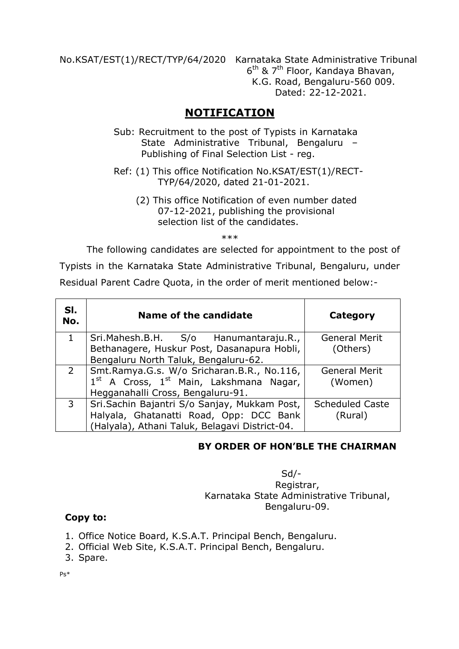No.KSAT/EST(1)/RECT/TYP/64/2020 Karnataka State Administrative Tribunal 6<sup>th</sup> & 7<sup>th</sup> Floor, Kandaya Bhavan, K.G. Road, Bengaluru-560 009. Dated: 22-12-2021.

# **NOTIFICATION**

- Sub: Recruitment to the post of Typists in Karnataka State Administrative Tribunal, Bengaluru – Publishing of Final Selection List - reg.
- Ref: (1) This office Notification No.KSAT/EST(1)/RECT- TYP/64/2020, dated 21-01-2021.
	- (2) This office Notification of even number dated 07-12-2021, publishing the provisional selection list of the candidates.

\*\*\*

The following candidates are selected for appointment to the post of

Typists in the Karnataka State Administrative Tribunal, Bengaluru, under

Residual Parent Cadre Quota, in the order of merit mentioned below:-

| SI.<br>No.     | Name of the candidate                          | Category               |
|----------------|------------------------------------------------|------------------------|
|                | Sri. Mahesh. B.H. S/o Hanumantaraju. R.,       | <b>General Merit</b>   |
|                | Bethanagere, Huskur Post, Dasanapura Hobli,    | (Others)               |
|                | Bengaluru North Taluk, Bengaluru-62.           |                        |
| $\overline{2}$ | Smt.Ramya.G.s. W/o Sricharan.B.R., No.116,     | <b>General Merit</b>   |
|                | $1st$ A Cross, $1st$ Main, Lakshmana Nagar,    | (Women)                |
|                | Hegganahalli Cross, Bengaluru-91.              |                        |
| $\mathbf{3}$   | Sri.Sachin Bajantri S/o Sanjay, Mukkam Post,   | <b>Scheduled Caste</b> |
|                | Halyala, Ghatanatti Road, Opp: DCC Bank        | (Rural)                |
|                | (Halyala), Athani Taluk, Belagavi District-04. |                        |

## **BY ORDER OF HON'BLE THE CHAIRMAN**

 Sd/- Registrar, Karnataka State Administrative Tribunal, Bengaluru-09.

## **Copy to:**

- 1. Office Notice Board, K.S.A.T. Principal Bench, Bengaluru.
- 2. Official Web Site, K.S.A.T. Principal Bench, Bengaluru.
- 3. Spare.

Ps\*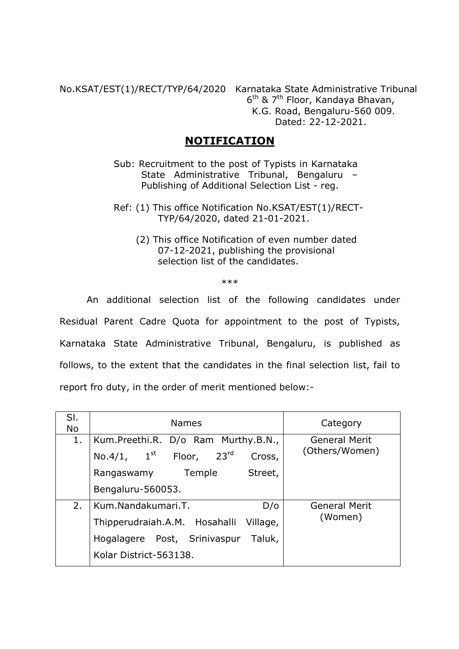No.KSAT/EST(1)/RECT/TYP/64/2020 Karnataka State Administrative Tribunal  $6<sup>th</sup>$  & 7<sup>th</sup> Floor, Kandaya Bhavan, K.G. Road, Bengaluru-560 009. Dated: 22-12-2021.

## **NOTIFICATION**

- Sub: Recruitment to the post of Typists in Karnataka State Administrative Tribunal, Bengaluru – Publishing of Additional Selection List - reg.
- Ref: (1) This office Notification No.KSAT/EST(1)/RECT- TYP/64/2020, dated 21-01-2021.
	- (2) This office Notification of even number dated 07-12-2021, publishing the provisional selection list of the candidates.

\*\*\*

An additional selection list of the following candidates under Residual Parent Cadre Quota for appointment to the post of Typists, Karnataka State Administrative Tribunal, Bengaluru, is published as follows, to the extent that the candidates in the final selection list, fail to report fro duty, in the order of merit mentioned below:-

| SI.<br><b>No</b> | <b>Names</b>                                                    | Category                               |  |
|------------------|-----------------------------------------------------------------|----------------------------------------|--|
| 1.               | Kum.Preethi.R. D/o Ram Murthy.B.N.,                             | <b>General Merit</b><br>(Others/Women) |  |
|                  | 23 <sup>rd</sup><br>No.4/1, $1^{\text{st}}$<br>Floor,<br>Cross, |                                        |  |
|                  | Temple<br>Street,<br>Rangaswamy                                 |                                        |  |
|                  | Bengaluru-560053.                                               |                                        |  |
| 2.               | Kum.Nandakumari.T.<br>D/O                                       | <b>General Merit</b><br>(Women)        |  |
|                  | Thipperudraiah.A.M. Hosahalli Village,                          |                                        |  |
|                  | Post, Srinivaspur<br>Taluk,<br>Hogalagere                       |                                        |  |
|                  | Kolar District-563138.                                          |                                        |  |